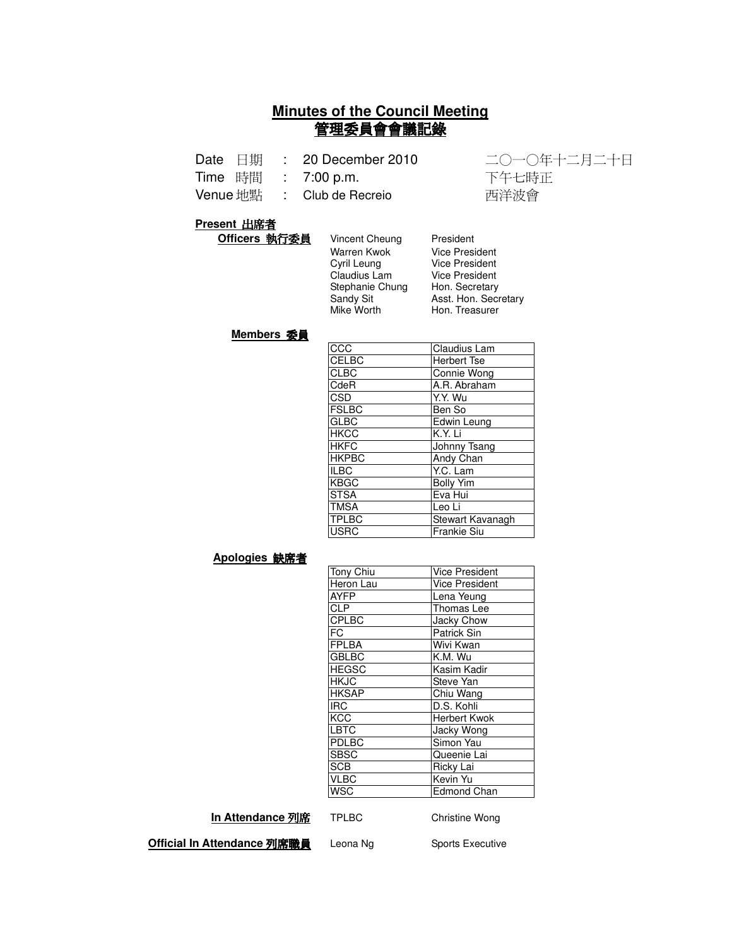# **Minutes of the Council Meeting** 管理委員會會議記錄

| Date | 日期 |  | 20 December 2010 |
|------|----|--|------------------|
|------|----|--|------------------|

Time 時間 :

Venue 地點 : Club de Recreio [ 西洋波會]

1 二〇一〇年十二月二十日 : 7:00 p.m. 
 

#### **Present 出席者**

| Officers 執行委員 | Vincent Cheung  | President         |
|---------------|-----------------|-------------------|
|               | Warren Kwok     | <b>Vice Presi</b> |
|               | Cyril Leung     | <b>Vice Presi</b> |
|               | Claudius Lam    | <b>Vice Presi</b> |
|               | Stephanie Chung | Hon. Secr         |
|               | Sandy Sit       | Asst. Hon         |
|               | Mike Worth      | Hon. Trea         |
|               |                 |                   |

**/ice President** lice President lice President Ion. Secretary sst. Hon. Secretary **Hon. Treasurer** 

#### **Members 委員**

| $\overline{ccc}$ | Claudius Lam       |
|------------------|--------------------|
| CELBC            | <b>Herbert Tse</b> |
| <b>CLBC</b>      | Connie Wong        |
| CdeR             | A.R. Abraham       |
| <b>CSD</b>       | Y.Y. Wu            |
| <b>FSLBC</b>     | Ben So             |
| <b>GLBC</b>      | Edwin Leung        |
| <b>HKCC</b>      | K.Y. Li            |
| <b>HKFC</b>      | Johnny Tsang       |
| <b>HKPBC</b>     | Andy Chan          |
| <b>ILBC</b>      | Y.C. Lam           |
| <b>KBGC</b>      | <b>Bolly Yim</b>   |
| <b>STSA</b>      | Eva Hui            |
| <b>TMSA</b>      | Leo Li             |
| <b>TPLBC</b>     | Stewart Kavanagh   |
| <b>USRC</b>      | <b>Frankie Siu</b> |

#### Apologies 缺席者

| Tony Chiu    | <b>Vice President</b> |
|--------------|-----------------------|
| Heron Lau    | <b>Vice President</b> |
| <b>AYFP</b>  | Lena Yeung            |
| <b>CLP</b>   | Thomas Lee            |
| <b>CPLBC</b> | Jacky Chow            |
| FC           | Patrick Sin           |
| <b>FPLBA</b> | Wivi Kwan             |
| <b>GBLBC</b> | K.M. Wu               |
| <b>HEGSC</b> | Kasim Kadir           |
| <b>HKJC</b>  | Steve Yan             |
| <b>HKSAP</b> | Chiu Wang             |
| <b>IRC</b>   | D.S. Kohli            |
| KCC          | Herbert Kwok          |
| LBTC         | Jacky Wong            |
| PDLBC        | Simon Yau             |
| <b>SBSC</b>  | Queenie Lai           |
| <b>SCB</b>   | Ricky Lai             |
| <b>VLBC</b>  | Kevin Yu              |
| WSC          | <b>Edmond Chan</b>    |

**In Attendance 列席** 

TPLBC Christine Wong

**Official In Attendance 列席職員** l

Leona Ng Sports Executive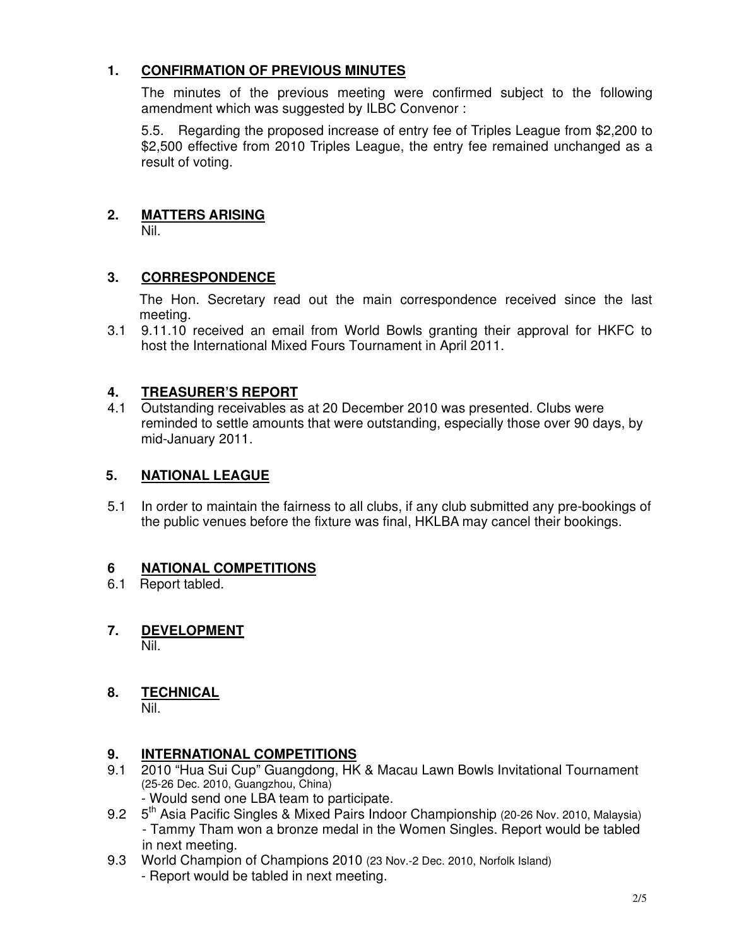# **1. CONFIRMATION OF PREVIOUS MINUTES**

The minutes of the previous meeting were confirmed subject to the following amendment which was suggested by ILBC Convenor :

5.5. Regarding the proposed increase of entry fee of Triples League from \$2,200 to \$2,500 effective from 2010 Triples League, the entry fee remained unchanged as a result of voting.

# **2. MATTERS ARISING**

Nil.

### **3. CORRESPONDENCE**

The Hon. Secretary read out the main correspondence received since the last meeting.

3.1 9.11.10 received an email from World Bowls granting their approval for HKFC to host the International Mixed Fours Tournament in April 2011.

### **4. TREASURER'S REPORT**

4.1 Outstanding receivables as at 20 December 2010 was presented. Clubs were reminded to settle amounts that were outstanding, especially those over 90 days, by mid-January 2011.

### **5. NATIONAL LEAGUE**

5.1 In order to maintain the fairness to all clubs, if any club submitted any pre-bookings of the public venues before the fixture was final, HKLBA may cancel their bookings.

### **6 NATIONAL COMPETITIONS**

- 6.1 Report tabled.
- **7. DEVELOPMENT** Nil.

# **8. TECHNICAL**

Nil.

### **9. INTERNATIONAL COMPETITIONS**

- 9.1 2010 "Hua Sui Cup" Guangdong, HK & Macau Lawn Bowls Invitational Tournament (25-26 Dec. 2010, Guangzhou, China)
	- Would send one LBA team to participate.
- 9.2 5<sup>th</sup> Asia Pacific Singles & Mixed Pairs Indoor Championship (20-26 Nov. 2010, Malaysia) - Tammy Tham won a bronze medal in the Women Singles. Report would be tabled in next meeting.
- 9.3 World Champion of Champions 2010 (23 Nov.-2 Dec. 2010, Norfolk Island)
	- Report would be tabled in next meeting.